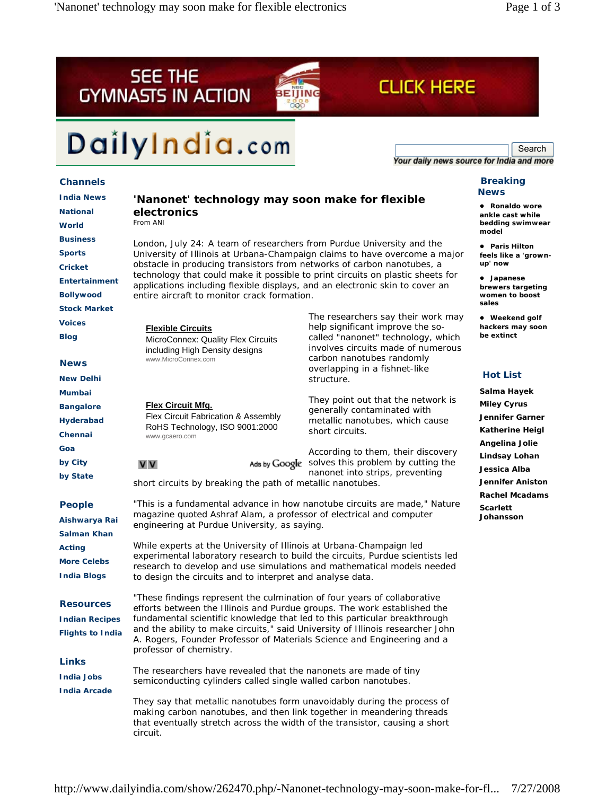



# DailyIndia.com

Search<br>Your daily news source for India and more

**CLICK HERE** 

# **Channels**

| <b>India News</b>                        | NЭ<br>'Nanonet' technology may soon make for flexible                                                                                                                                                                                                                                                                                                                                                                                        |                                                                                           |
|------------------------------------------|----------------------------------------------------------------------------------------------------------------------------------------------------------------------------------------------------------------------------------------------------------------------------------------------------------------------------------------------------------------------------------------------------------------------------------------------|-------------------------------------------------------------------------------------------|
| <b>National</b>                          | $\bullet$<br>electronics<br>an                                                                                                                                                                                                                                                                                                                                                                                                               |                                                                                           |
| World                                    | From ANI                                                                                                                                                                                                                                                                                                                                                                                                                                     | be<br>mo                                                                                  |
| <b>Business</b>                          | London, July 24: A team of researchers from Purdue University and the<br>$\bullet$<br>University of Illinois at Urbana-Champaign claims to have overcome a major<br>fee<br>obstacle in producing transistors from networks of carbon nanotubes, a<br>up<br>technology that could make it possible to print circuits on plastic sheets for<br>$\bullet$<br>applications including flexible displays, and an electronic skin to cover an<br>br |                                                                                           |
| <b>Sports</b>                            |                                                                                                                                                                                                                                                                                                                                                                                                                                              |                                                                                           |
| <b>Cricket</b>                           |                                                                                                                                                                                                                                                                                                                                                                                                                                              |                                                                                           |
| Entertainment                            |                                                                                                                                                                                                                                                                                                                                                                                                                                              |                                                                                           |
| <b>Bollywood</b>                         | entire aircraft to monitor crack formation.<br><b>WC</b>                                                                                                                                                                                                                                                                                                                                                                                     |                                                                                           |
| <b>Stock Market</b>                      |                                                                                                                                                                                                                                                                                                                                                                                                                                              | sal                                                                                       |
| <b>Voices</b>                            | <b>Flexible Circuits</b>                                                                                                                                                                                                                                                                                                                                                                                                                     | The researchers say their work may<br>$\bullet$<br>help significant improve the so-<br>ha |
| <b>Blog</b>                              | MicroConnex: Quality Flex Circuits<br>including High Density designs                                                                                                                                                                                                                                                                                                                                                                         | be<br>called "nanonet" technology, which<br>involves circuits made of numerous            |
| <b>News</b>                              | www.MicroConnex.com                                                                                                                                                                                                                                                                                                                                                                                                                          | carbon nanotubes randomly<br>overlapping in a fishnet-like<br>н                           |
| <b>New Delhi</b>                         |                                                                                                                                                                                                                                                                                                                                                                                                                                              | structure.                                                                                |
| <b>Mumbai</b>                            |                                                                                                                                                                                                                                                                                                                                                                                                                                              | Sa<br>They point out that the network is                                                  |
| <b>Bangalore</b>                         | <b>Flex Circuit Mfg.</b>                                                                                                                                                                                                                                                                                                                                                                                                                     | Mi<br>generally contaminated with                                                         |
| <b>Hyderabad</b>                         | Flex Circuit Fabrication & Assembly<br>RoHS Technology, ISO 9001:2000                                                                                                                                                                                                                                                                                                                                                                        | Je<br>metallic nanotubes, which cause                                                     |
| Chennai                                  | www.gcaero.com                                                                                                                                                                                                                                                                                                                                                                                                                               | short circuits.<br>Kа<br>An                                                               |
| Goa                                      |                                                                                                                                                                                                                                                                                                                                                                                                                                              | According to them, their discovery<br>Lir                                                 |
| by City                                  | <b>V</b> V                                                                                                                                                                                                                                                                                                                                                                                                                                   | Ads by Google solves this problem by cutting the<br>Je                                    |
| by State                                 | nanonet into strips, preventing<br>short circuits by breaking the path of metallic nanotubes.                                                                                                                                                                                                                                                                                                                                                |                                                                                           |
| <b>People</b>                            | Ra<br>"This is a fundamental advance in how nanotube circuits are made," Nature<br>Sc                                                                                                                                                                                                                                                                                                                                                        |                                                                                           |
| Aishwarya Rai                            | magazine quoted Ashraf Alam, a professor of electrical and computer<br>Jo<br>engineering at Purdue University, as saying.                                                                                                                                                                                                                                                                                                                    |                                                                                           |
| <b>Salman Khan</b>                       |                                                                                                                                                                                                                                                                                                                                                                                                                                              |                                                                                           |
| Acting                                   | While experts at the University of Illinois at Urbana-Champaign led                                                                                                                                                                                                                                                                                                                                                                          |                                                                                           |
| <b>More Celebs</b>                       | experimental laboratory research to build the circuits, Purdue scientists led<br>research to develop and use simulations and mathematical models needed                                                                                                                                                                                                                                                                                      |                                                                                           |
| <b>India Blogs</b>                       | to design the circuits and to interpret and analyse data.                                                                                                                                                                                                                                                                                                                                                                                    |                                                                                           |
| <b>Resources</b>                         | "These findings represent the culmination of four years of collaborative<br>efforts between the Illinois and Purdue groups. The work established the<br>fundamental scientific knowledge that led to this particular breakthrough                                                                                                                                                                                                            |                                                                                           |
| <b>Indian Recipes</b>                    |                                                                                                                                                                                                                                                                                                                                                                                                                                              |                                                                                           |
| <b>Flights to India</b>                  | and the ability to make circuits," said University of Illinois researcher John<br>A. Rogers, Founder Professor of Materials Science and Engineering and a<br>professor of chemistry.                                                                                                                                                                                                                                                         |                                                                                           |
| <b>Links</b>                             |                                                                                                                                                                                                                                                                                                                                                                                                                                              |                                                                                           |
| <b>India Jobs</b><br><b>India Arcade</b> | The researchers have revealed that the nanonets are made of tiny<br>semiconducting cylinders called single walled carbon nanotubes.                                                                                                                                                                                                                                                                                                          |                                                                                           |
|                                          | They say that metallic nanotubes form unavoidably during the process of<br>making carbon nanotubes, and then link together in meandering threads<br>that eventually stretch across the width of the transistor, causing a short<br>circuit.                                                                                                                                                                                                  |                                                                                           |

### **Breaking News**

**Ronaldo wore ankle cast while bedding swimwear model**

**Paris Hilton** els like a 'grown**up' now**

z **Japanese brewers targeting women to boost sales**

Weekend golf **hackers may soon be extinct**

# **lot List**

**Salma Hayek Miley Cyrus Jennifer Garner Katherine Heigl Angelina Jolie Lindsay Lohan Jessica Alba Jennifer Aniston Rachel Mcadams Scarlett Johansson**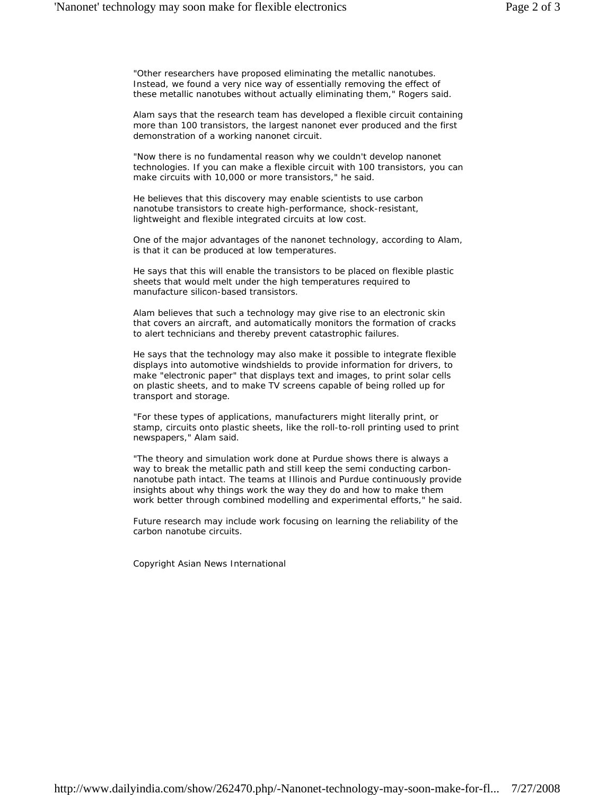"Other researchers have proposed eliminating the metallic nanotubes. Instead, we found a very nice way of essentially removing the effect of these metallic nanotubes without actually eliminating them," Rogers said.

Alam says that the research team has developed a flexible circuit containing more than 100 transistors, the largest nanonet ever produced and the first demonstration of a working nanonet circuit.

"Now there is no fundamental reason why we couldn't develop nanonet technologies. If you can make a flexible circuit with 100 transistors, you can make circuits with 10,000 or more transistors," he said.

He believes that this discovery may enable scientists to use carbon nanotube transistors to create high-performance, shock-resistant, lightweight and flexible integrated circuits at low cost.

One of the major advantages of the nanonet technology, according to Alam, is that it can be produced at low temperatures.

He says that this will enable the transistors to be placed on flexible plastic sheets that would melt under the high temperatures required to manufacture silicon-based transistors.

Alam believes that such a technology may give rise to an electronic skin that covers an aircraft, and automatically monitors the formation of cracks to alert technicians and thereby prevent catastrophic failures.

He says that the technology may also make it possible to integrate flexible displays into automotive windshields to provide information for drivers, to make "electronic paper" that displays text and images, to print solar cells on plastic sheets, and to make TV screens capable of being rolled up for transport and storage.

"For these types of applications, manufacturers might literally print, or stamp, circuits onto plastic sheets, like the roll-to-roll printing used to print newspapers," Alam said.

"The theory and simulation work done at Purdue shows there is always a way to break the metallic path and still keep the semi conducting carbonnanotube path intact. The teams at Illinois and Purdue continuously provide insights about why things work the way they do and how to make them work better through combined modelling and experimental efforts," he said.

Future research may include work focusing on learning the reliability of the carbon nanotube circuits.

Copyright Asian News International